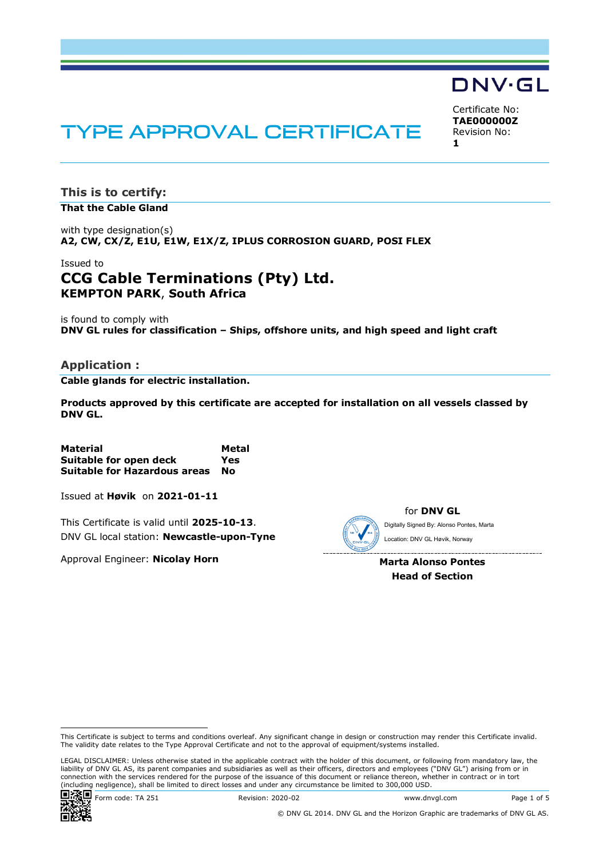# DNV·GL

Certificate No: **TAE000000Z** Revision No: **1**

# **TYPE APPROVAL CERTIFICATE**

**This is to certify: That the Cable Gland**

with type designation(s) **A2, CW, CX/Z, E1U, E1W, E1X/Z, IPLUS CORROSION GUARD, POSI FLEX**

### Issued to **CCG Cable Terminations (Pty) Ltd. KEMPTON PARK**, **South Africa**

is found to comply with **DNV GL rules for classification – Ships, offshore units, and high speed and light craft**

#### **Application :**

**Cable glands for electric installation.**

**Products approved by this certificate are accepted for installation on all vessels classed by DNV GL.**

**Material Metal Suitable for open deck Yes Suitable for Hazardous areas No**

Issued at **Høvik** on **2021-01-11**

This Certificate is valid until **2025-10-13**. DNV GL local station: **Newcastle-upon-Tyne**

Approval Engineer: **Nicolay Horn**



for **DNV GL** Digitally Signed By: Alonso Pontes, Marta Location: DNV GL Høvik, Norway

**Marta Alonso Pontes Head of Section**

LEGAL DISCLAIMER: Unless otherwise stated in the applicable contract with the holder of this document, or following from mandatory law, the liability of DNV GL AS, its parent companies and subsidiaries as well as their officers, directors and employees ("DNV GL") arising from or in connection with the services rendered for the purpose of the issuance of this document or reliance thereon, whether in contract or in tort (including negligence), shall be limited to direct losses and under any circumstance be limited to 300,000 USD.



**回馈回** Form code: TA 251 Revision: 2020-02 Www.dnvgl.com Page 1 of 5

This Certificate is subject to terms and conditions overleaf. Any significant change in design or construction may render this Certificate invalid. The validity date relates to the Type Approval Certificate and not to the approval of equipment/systems installed.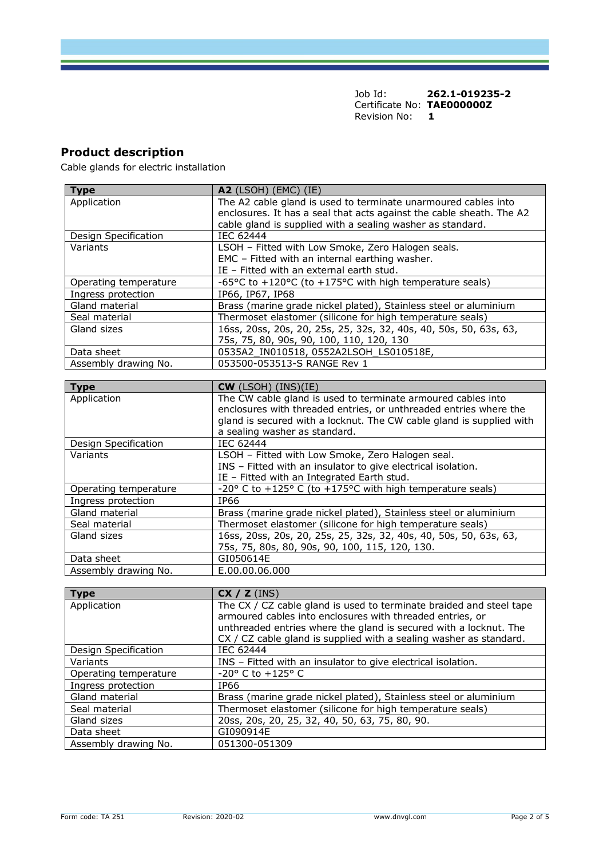# **Product description**

Cable glands for electric installation

| <b>Type</b>           | <b>A2</b> (LSOH) (EMC) (IE)                                          |  |
|-----------------------|----------------------------------------------------------------------|--|
| Application           | The A2 cable gland is used to terminate unarmoured cables into       |  |
|                       | enclosures. It has a seal that acts against the cable sheath. The A2 |  |
|                       | cable gland is supplied with a sealing washer as standard.           |  |
| Design Specification  | IEC 62444                                                            |  |
| Variants              | LSOH - Fitted with Low Smoke, Zero Halogen seals.                    |  |
|                       | EMC - Fitted with an internal earthing washer.                       |  |
|                       | IE - Fitted with an external earth stud.                             |  |
| Operating temperature | -65°C to +120°C (to +175°C with high temperature seals)              |  |
| Ingress protection    | IP66, IP67, IP68                                                     |  |
| Gland material        | Brass (marine grade nickel plated), Stainless steel or aluminium     |  |
| Seal material         | Thermoset elastomer (silicone for high temperature seals)            |  |
| Gland sizes           | 16ss, 20ss, 20s, 20, 25s, 25, 32s, 32, 40s, 40, 50s, 50, 63s, 63,    |  |
|                       | 75s, 75, 80, 90s, 90, 100, 110, 120, 130                             |  |
| Data sheet            | 0535A2_IN010518, 0552A2LSOH_LS010518E,                               |  |
| Assembly drawing No.  | 053500-053513-S RANGE Rev 1                                          |  |
|                       |                                                                      |  |
| <b>Type</b>           | $CW$ (LSOH) (INS)(IE)                                                |  |
| Application           | The CW cable gland is used to terminate armoured cables into         |  |
|                       | enclosures with threaded entries, or unthreaded entries where the    |  |
|                       | gland is secured with a locknut. The CW cable gland is supplied with |  |
|                       | a sealing washer as standard.                                        |  |
| Design Specification  | IEC 62444                                                            |  |
| Variants              | LSOH - Fitted with Low Smoke, Zero Halogen seal.                     |  |
|                       | INS - Fitted with an insulator to give electrical isolation.         |  |
|                       | IE - Fitted with an Integrated Earth stud.                           |  |
| Operating temperature | -20° C to +125° C (to +175°C with high temperature seals)            |  |
| Ingress protection    | IP66                                                                 |  |
| Gland material        | Brass (marine grade nickel plated), Stainless steel or aluminium     |  |
| Seal material         | Thermoset elastomer (silicone for high temperature seals)            |  |
| Gland sizes           | 16ss, 20ss, 20s, 20, 25s, 25, 32s, 32, 40s, 40, 50s, 50, 63s, 63,    |  |
|                       | 75s, 75, 80s, 80, 90s, 90, 100, 115, 120, 130.                       |  |
| Data sheet            | GI050614E                                                            |  |
| Assembly drawing No.  | E.00.00.06.000                                                       |  |
|                       |                                                                      |  |
| <b>Type</b>           | CX / Z (INS)                                                         |  |
| Application           | The CX / CZ cable gland is used to terminate braided and steel tape  |  |
|                       | armoured cables into enclosures with threaded entries, or            |  |

|                       | armoured cables into enclosures with threaded entries, or<br>unthreaded entries where the gland is secured with a locknut. The<br>CX / CZ cable gland is supplied with a sealing washer as standard. |  |
|-----------------------|------------------------------------------------------------------------------------------------------------------------------------------------------------------------------------------------------|--|
| Design Specification  | IEC 62444                                                                                                                                                                                            |  |
| Variants              | INS – Fitted with an insulator to give electrical isolation.                                                                                                                                         |  |
| Operating temperature | $-20^{\circ}$ C to $+125^{\circ}$ C                                                                                                                                                                  |  |
| Ingress protection    | IP66                                                                                                                                                                                                 |  |
| Gland material        | Brass (marine grade nickel plated), Stainless steel or aluminium                                                                                                                                     |  |
| Seal material         | Thermoset elastomer (silicone for high temperature seals)                                                                                                                                            |  |
| Gland sizes           | 20ss, 20s, 20, 25, 32, 40, 50, 63, 75, 80, 90.                                                                                                                                                       |  |
| Data sheet            | GI090914E                                                                                                                                                                                            |  |
| Assembly drawing No.  | 051300-051309                                                                                                                                                                                        |  |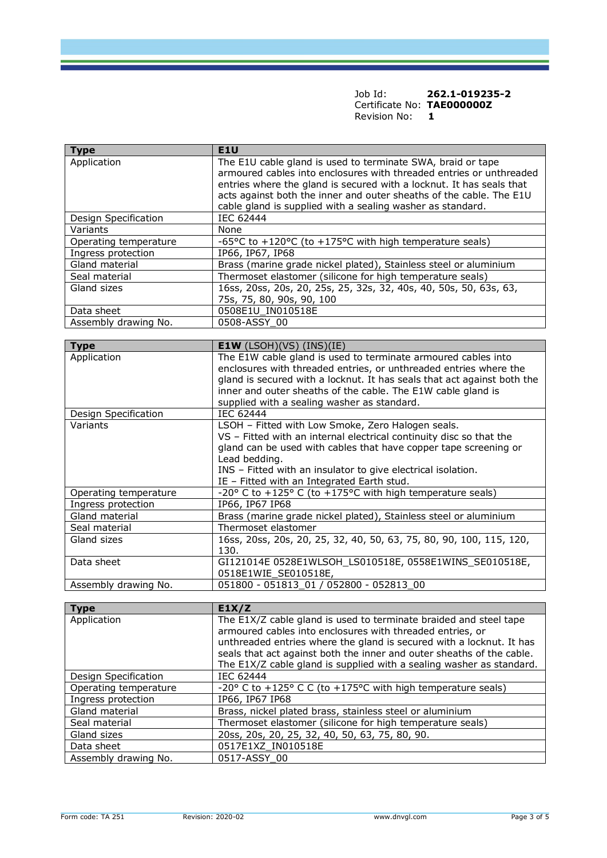| <b>Type</b>           | E1U                                                                                                                                                                                                        |
|-----------------------|------------------------------------------------------------------------------------------------------------------------------------------------------------------------------------------------------------|
| Application           | The E1U cable gland is used to terminate SWA, braid or tape<br>armoured cables into enclosures with threaded entries or unthreaded<br>entries where the gland is secured with a locknut. It has seals that |
|                       | acts against both the inner and outer sheaths of the cable. The E1U<br>cable gland is supplied with a sealing washer as standard.                                                                          |
| Design Specification  | <b>IEC 62444</b>                                                                                                                                                                                           |
| Variants              | None                                                                                                                                                                                                       |
| Operating temperature | -65°C to +120°C (to +175°C with high temperature seals)                                                                                                                                                    |
| Ingress protection    | IP66, IP67, IP68                                                                                                                                                                                           |
| Gland material        | Brass (marine grade nickel plated), Stainless steel or aluminium                                                                                                                                           |
| Seal material         | Thermoset elastomer (silicone for high temperature seals)                                                                                                                                                  |
| Gland sizes           | 16ss, 20ss, 20s, 20, 25s, 25, 32s, 32, 40s, 40, 50s, 50, 63s, 63,<br>75s, 75, 80, 90s, 90, 100                                                                                                             |
| Data sheet            | 0508E1U IN010518E                                                                                                                                                                                          |
| Assembly drawing No.  | 0508-ASSY 00                                                                                                                                                                                               |

| Type                  | <b>E1W</b> (LSOH)(VS) (INS)(IE)                                                                                                                                                                                                                                                                                              |
|-----------------------|------------------------------------------------------------------------------------------------------------------------------------------------------------------------------------------------------------------------------------------------------------------------------------------------------------------------------|
| Application           | The E1W cable gland is used to terminate armoured cables into<br>enclosures with threaded entries, or unthreaded entries where the<br>gland is secured with a locknut. It has seals that act against both the<br>inner and outer sheaths of the cable. The E1W cable gland is<br>supplied with a sealing washer as standard. |
| Design Specification  | IEC 62444                                                                                                                                                                                                                                                                                                                    |
| Variants              | LSOH - Fitted with Low Smoke, Zero Halogen seals.<br>VS - Fitted with an internal electrical continuity disc so that the<br>gland can be used with cables that have copper tape screening or<br>Lead bedding.<br>INS - Fitted with an insulator to give electrical isolation.<br>IE - Fitted with an Integrated Earth stud.  |
| Operating temperature | $-20^{\circ}$ C to $+125^{\circ}$ C (to $+175^{\circ}$ C with high temperature seals)                                                                                                                                                                                                                                        |
| Ingress protection    | IP66, IP67 IP68                                                                                                                                                                                                                                                                                                              |
| Gland material        | Brass (marine grade nickel plated), Stainless steel or aluminium                                                                                                                                                                                                                                                             |
| Seal material         | Thermoset elastomer                                                                                                                                                                                                                                                                                                          |
| Gland sizes           | 16ss, 20ss, 20s, 20, 25, 32, 40, 50, 63, 75, 80, 90, 100, 115, 120,<br>130.                                                                                                                                                                                                                                                  |
| Data sheet            | GI121014E 0528E1WLSOH_LS010518E, 0558E1WINS_SE010518E,<br>0518E1WIE_SE010518E,                                                                                                                                                                                                                                               |
| Assembly drawing No.  | 051800 - 051813 01 / 052800 - 052813 00                                                                                                                                                                                                                                                                                      |

| <b>Type</b>           | E1X/Z                                                                                   |
|-----------------------|-----------------------------------------------------------------------------------------|
| Application           | The E1X/Z cable gland is used to terminate braided and steel tape                       |
|                       | armoured cables into enclosures with threaded entries, or                               |
|                       | unthreaded entries where the gland is secured with a locknut. It has                    |
|                       | seals that act against both the inner and outer sheaths of the cable.                   |
|                       | The E1X/Z cable gland is supplied with a sealing washer as standard.                    |
| Design Specification  | IEC 62444                                                                               |
| Operating temperature | -20 $\degree$ C to +125 $\degree$ C C (to +175 $\degree$ C with high temperature seals) |
| Ingress protection    | IP66, IP67 IP68                                                                         |
| Gland material        | Brass, nickel plated brass, stainless steel or aluminium                                |
| Seal material         | Thermoset elastomer (silicone for high temperature seals)                               |
| Gland sizes           | 20ss, 20s, 20, 25, 32, 40, 50, 63, 75, 80, 90.                                          |
| Data sheet            | 0517E1XZ IN010518E                                                                      |
| Assembly drawing No.  | 0517-ASSY 00                                                                            |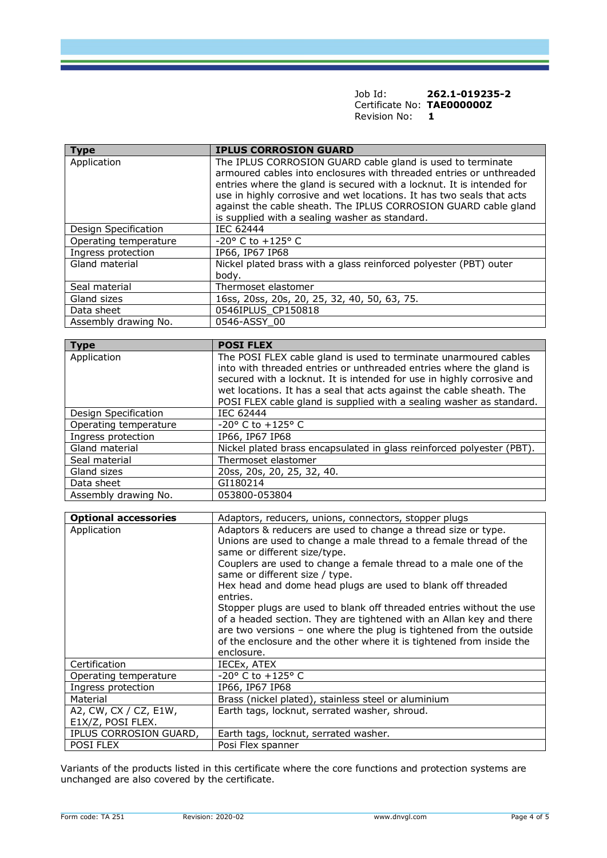| <b>Type</b>           | <b>IPLUS CORROSION GUARD</b>                                                                                                                                                                                                                                                                                                                                                                             |
|-----------------------|----------------------------------------------------------------------------------------------------------------------------------------------------------------------------------------------------------------------------------------------------------------------------------------------------------------------------------------------------------------------------------------------------------|
| Application           | The IPLUS CORROSION GUARD cable gland is used to terminate<br>armoured cables into enclosures with threaded entries or unthreaded<br>entries where the gland is secured with a locknut. It is intended for<br>use in highly corrosive and wet locations. It has two seals that acts<br>against the cable sheath. The IPLUS CORROSION GUARD cable gland<br>is supplied with a sealing washer as standard. |
| Design Specification  | IEC 62444                                                                                                                                                                                                                                                                                                                                                                                                |
| Operating temperature | $-20^{\circ}$ C to $+125^{\circ}$ C                                                                                                                                                                                                                                                                                                                                                                      |
| Ingress protection    | IP66, IP67 IP68                                                                                                                                                                                                                                                                                                                                                                                          |
| Gland material        | Nickel plated brass with a glass reinforced polyester (PBT) outer<br>body.                                                                                                                                                                                                                                                                                                                               |
| Seal material         | Thermoset elastomer                                                                                                                                                                                                                                                                                                                                                                                      |
| Gland sizes           | 16ss, 20ss, 20s, 20, 25, 32, 40, 50, 63, 75.                                                                                                                                                                                                                                                                                                                                                             |
| Data sheet            | 0546IPLUS CP150818                                                                                                                                                                                                                                                                                                                                                                                       |
| Assembly drawing No.  | 0546-ASSY 00                                                                                                                                                                                                                                                                                                                                                                                             |

| <b>Type</b>           | <b>POSI FLEX</b>                                                       |
|-----------------------|------------------------------------------------------------------------|
| Application           | The POSI FLEX cable gland is used to terminate unarmoured cables       |
|                       | into with threaded entries or unthreaded entries where the gland is    |
|                       | secured with a locknut. It is intended for use in highly corrosive and |
|                       | wet locations. It has a seal that acts against the cable sheath. The   |
|                       | POSI FLEX cable gland is supplied with a sealing washer as standard.   |
| Design Specification  | IEC 62444                                                              |
| Operating temperature | $-20^{\circ}$ C to $+125^{\circ}$ C                                    |
| Ingress protection    | IP66, IP67 IP68                                                        |
| Gland material        | Nickel plated brass encapsulated in glass reinforced polyester (PBT).  |
| Seal material         | Thermoset elastomer                                                    |
| Gland sizes           | 20ss, 20s, 20, 25, 32, 40.                                             |
| Data sheet            | GI180214                                                               |
| Assembly drawing No.  | 053800-053804                                                          |

| <b>Optional accessories</b>                   | Adaptors, reducers, unions, connectors, stopper plugs                                                                                                                                                                                                                                                                                                                                                                                                                                                                                                                                                                                                           |  |
|-----------------------------------------------|-----------------------------------------------------------------------------------------------------------------------------------------------------------------------------------------------------------------------------------------------------------------------------------------------------------------------------------------------------------------------------------------------------------------------------------------------------------------------------------------------------------------------------------------------------------------------------------------------------------------------------------------------------------------|--|
| Application                                   | Adaptors & reducers are used to change a thread size or type.<br>Unions are used to change a male thread to a female thread of the<br>same or different size/type.<br>Couplers are used to change a female thread to a male one of the<br>same or different size / type.<br>Hex head and dome head plugs are used to blank off threaded<br>entries.<br>Stopper plugs are used to blank off threaded entries without the use<br>of a headed section. They are tightened with an Allan key and there<br>are two versions - one where the plug is tightened from the outside<br>of the enclosure and the other where it is tightened from inside the<br>enclosure. |  |
| Certification                                 | IECEx, ATEX                                                                                                                                                                                                                                                                                                                                                                                                                                                                                                                                                                                                                                                     |  |
| Operating temperature                         | $-20^{\circ}$ C to $+125^{\circ}$ C                                                                                                                                                                                                                                                                                                                                                                                                                                                                                                                                                                                                                             |  |
| Ingress protection                            | IP66, IP67 IP68                                                                                                                                                                                                                                                                                                                                                                                                                                                                                                                                                                                                                                                 |  |
| Material                                      | Brass (nickel plated), stainless steel or aluminium                                                                                                                                                                                                                                                                                                                                                                                                                                                                                                                                                                                                             |  |
| A2, CW, CX / CZ, $E1W$ ,<br>E1X/Z, POSI FLEX. | Earth tags, locknut, serrated washer, shroud.                                                                                                                                                                                                                                                                                                                                                                                                                                                                                                                                                                                                                   |  |
| IPLUS CORROSION GUARD,                        | Earth tags, locknut, serrated washer.                                                                                                                                                                                                                                                                                                                                                                                                                                                                                                                                                                                                                           |  |
| <b>POSI FLEX</b>                              | Posi Flex spanner                                                                                                                                                                                                                                                                                                                                                                                                                                                                                                                                                                                                                                               |  |

Variants of the products listed in this certificate where the core functions and protection systems are unchanged are also covered by the certificate.